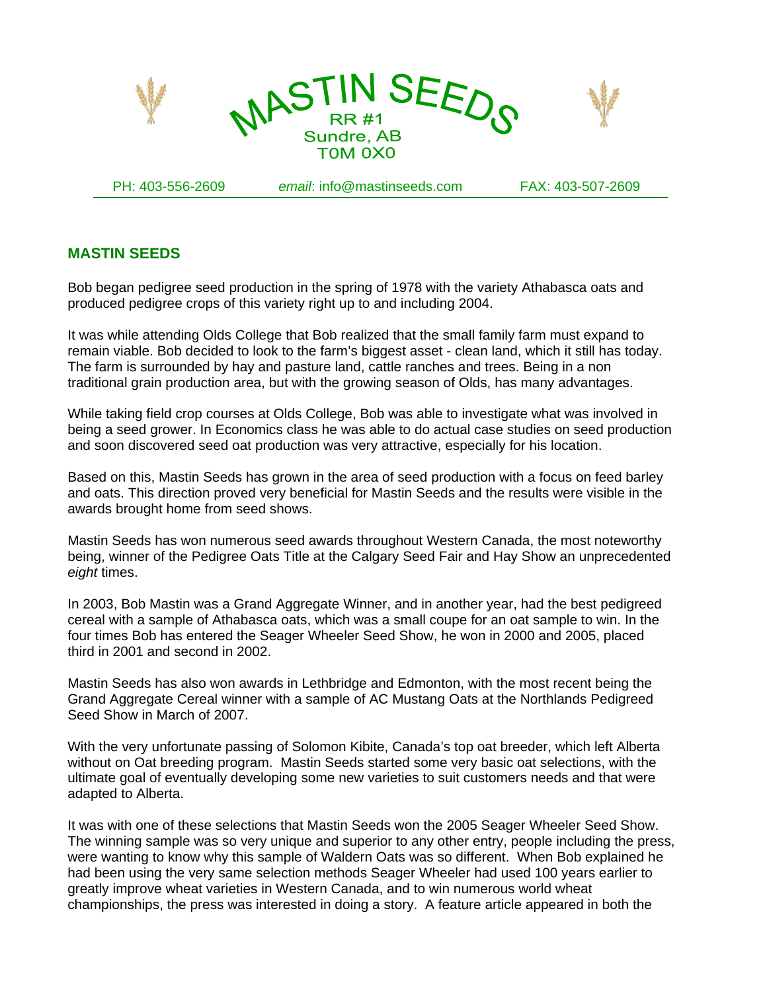

PH: 403-556-2609 *email*: info@mastinseeds.com FAX: 403-507-2609

## **MASTIN SEEDS**

Bob began pedigree seed production in the spring of 1978 with the variety Athabasca oats and produced pedigree crops of this variety right up to and including 2004.

It was while attending Olds College that Bob realized that the small family farm must expand to remain viable. Bob decided to look to the farm's biggest asset - clean land, which it still has today. The farm is surrounded by hay and pasture land, cattle ranches and trees. Being in a non traditional grain production area, but with the growing season of Olds, has many advantages.

While taking field crop courses at Olds College, Bob was able to investigate what was involved in being a seed grower. In Economics class he was able to do actual case studies on seed production and soon discovered seed oat production was very attractive, especially for his location.

Based on this, Mastin Seeds has grown in the area of seed production with a focus on feed barley and oats. This direction proved very beneficial for Mastin Seeds and the results were visible in the awards brought home from seed shows.

Mastin Seeds has won numerous seed awards throughout Western Canada, the most noteworthy being, winner of the Pedigree Oats Title at the Calgary Seed Fair and Hay Show an unprecedented *eight* times.

In 2003, Bob Mastin was a Grand Aggregate Winner, and in another year, had the best pedigreed cereal with a sample of Athabasca oats, which was a small coupe for an oat sample to win. In the four times Bob has entered the Seager Wheeler Seed Show, he won in 2000 and 2005, placed third in 2001 and second in 2002.

Mastin Seeds has also won awards in Lethbridge and Edmonton, with the most recent being the Grand Aggregate Cereal winner with a sample of AC Mustang Oats at the Northlands Pedigreed Seed Show in March of 2007.

With the very unfortunate passing of Solomon Kibite, Canada's top oat breeder, which left Alberta without on Oat breeding program. Mastin Seeds started some very basic oat selections, with the ultimate goal of eventually developing some new varieties to suit customers needs and that were adapted to Alberta.

It was with one of these selections that Mastin Seeds won the 2005 Seager Wheeler Seed Show. The winning sample was so very unique and superior to any other entry, people including the press, were wanting to know why this sample of Waldern Oats was so different. When Bob explained he had been using the very same selection methods Seager Wheeler had used 100 years earlier to greatly improve wheat varieties in Western Canada, and to win numerous world wheat championships, the press was interested in doing a story. A feature article appeared in both the